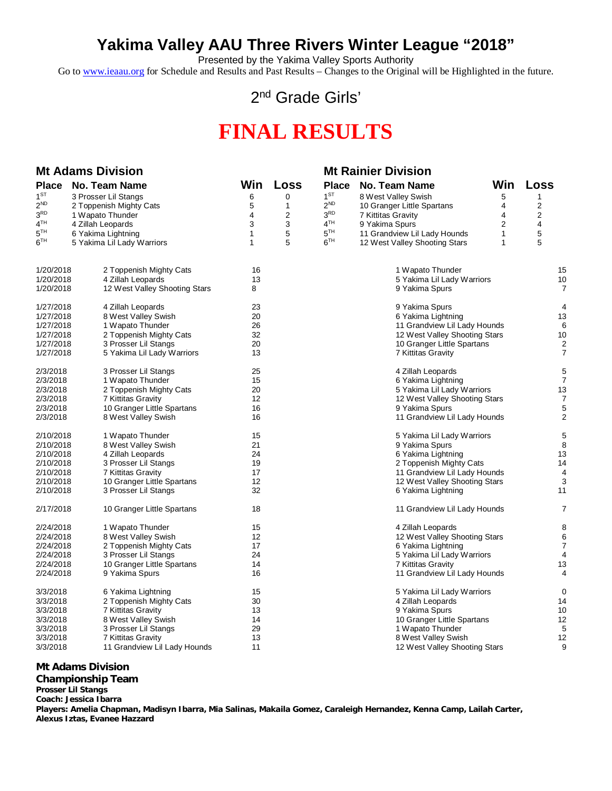## **Yakima Valley AAU Three Rivers Winter League "2018"**

Presented by the Yakima Valley Sports Authority

Go to [www.ieaau.org](http://www.ieaau.org) for Schedule and Results and Past Results – Changes to the Original will be Highlighted in the future.

### 2<sup>nd</sup> Grade Girls'

# **FINAL RESULTS**

| <b>Mt Adams Division</b> |                                            |             |              | <b>Mt Rainier Division</b> |                                         |                |                                           |
|--------------------------|--------------------------------------------|-------------|--------------|----------------------------|-----------------------------------------|----------------|-------------------------------------------|
|                          | Place No. Team Name                        | Win         | Loss         | <b>Place</b>               | <b>No. Team Name</b>                    | Win            | Loss                                      |
| $1^{ST}$                 | 3 Prosser Lil Stangs                       | 6           | 0            | 1 <sup>ST</sup>            | 8 West Valley Swish                     | 5              | 1                                         |
| $2^{ND}$                 | 2 Toppenish Mighty Cats                    | $\mathbf 5$ | $\mathbf{1}$ | 2 <sub>ND</sub>            | 10 Granger Little Spartans              | 4              | $\overline{\mathbf{c}}$                   |
| 3 <sup>RD</sup>          | 1 Wapato Thunder                           | 4           | 2            | 3 <sup>RD</sup>            | 7 Kittitas Gravity                      | 4              | $\overline{2}$                            |
| 4 <sup>TH</sup>          | 4 Zillah Leopards                          | 3           | 3            | 4 <sup>TH</sup>            | 9 Yakima Spurs                          | $\overline{2}$ | 4                                         |
| $5^{TH}$                 | 6 Yakima Lightning                         | 1           | 5            | 5 <sup>TH</sup>            | 11 Grandview Lil Lady Hounds            | 1              | 5                                         |
| 6 <sup>TH</sup>          | 5 Yakima Lil Lady Warriors                 | 1           | 5            | 6 <sup>TH</sup>            | 12 West Valley Shooting Stars           | 1              | 5                                         |
| 1/20/2018                | 2 Toppenish Mighty Cats                    | 16          |              |                            | 1 Wapato Thunder                        |                | 15                                        |
| 1/20/2018                | 4 Zillah Leopards                          | 13          |              |                            | 5 Yakima Lil Lady Warriors              |                | 10                                        |
| 1/20/2018                | 12 West Valley Shooting Stars              | 8           |              |                            | 9 Yakima Spurs                          |                | 7                                         |
| 1/27/2018                | 4 Zillah Leopards                          | 23          |              |                            | 9 Yakima Spurs                          |                | 4                                         |
| 1/27/2018                | 8 West Valley Swish                        | 20          |              |                            | 6 Yakima Lightning                      |                | 13                                        |
| 1/27/2018                | 1 Wapato Thunder                           | 26          |              |                            | 11 Grandview Lil Lady Hounds            |                | 6                                         |
| 1/27/2018                | 2 Toppenish Mighty Cats                    | 32<br>20    |              |                            | 12 West Valley Shooting Stars           |                | 10                                        |
| 1/27/2018                | 3 Prosser Lil Stangs                       | 13          |              |                            | 10 Granger Little Spartans              |                | $\overline{\mathbf{c}}$<br>$\overline{7}$ |
| 1/27/2018                | 5 Yakima Lil Lady Warriors                 |             |              |                            | <b>7 Kittitas Gravity</b>               |                |                                           |
| 2/3/2018                 | 3 Prosser Lil Stangs                       | 25          |              |                            | 4 Zillah Leopards                       |                | $\frac{5}{7}$                             |
| 2/3/2018                 | 1 Wapato Thunder                           | 15          |              |                            | 6 Yakima Lightning                      |                |                                           |
| 2/3/2018                 | 2 Toppenish Mighty Cats                    | 20          |              |                            | 5 Yakima Lil Lady Warriors              |                | 13                                        |
| 2/3/2018                 | 7 Kittitas Gravity                         | 12          |              |                            | 12 West Valley Shooting Stars           |                | $\overline{7}$                            |
| 2/3/2018                 | 10 Granger Little Spartans                 | 16          |              |                            | 9 Yakima Spurs                          |                | 5                                         |
| 2/3/2018                 | 8 West Valley Swish                        | 16          |              |                            | 11 Grandview Lil Lady Hounds            |                | $\overline{2}$                            |
| 2/10/2018                | 1 Wapato Thunder                           | 15          |              |                            | 5 Yakima Lil Lady Warriors              |                | 5                                         |
| 2/10/2018                | 8 West Valley Swish                        | 21          |              |                            | 9 Yakima Spurs                          |                | 8                                         |
| 2/10/2018                | 4 Zillah Leopards                          | 24          |              |                            | 6 Yakima Lightning                      |                | 13                                        |
| 2/10/2018                | 3 Prosser Lil Stangs                       | 19          |              |                            | 2 Toppenish Mighty Cats                 |                | 14                                        |
| 2/10/2018                | 7 Kittitas Gravity                         | 17          |              |                            | 11 Grandview Lil Lady Hounds            |                | 4                                         |
| 2/10/2018                | 10 Granger Little Spartans                 | 12          |              |                            | 12 West Valley Shooting Stars           |                | 3                                         |
| 2/10/2018                | 3 Prosser Lil Stangs                       | 32          |              |                            | 6 Yakima Lightning                      |                | 11                                        |
| 2/17/2018                | 10 Granger Little Spartans                 | 18          |              |                            | 11 Grandview Lil Lady Hounds            |                | $\overline{7}$                            |
| 2/24/2018                | 1 Wapato Thunder                           | 15          |              |                            | 4 Zillah Leopards                       |                | 8                                         |
| 2/24/2018                | 8 West Valley Swish                        | 12          |              |                            | 12 West Valley Shooting Stars           |                | 6                                         |
| 2/24/2018                | 2 Toppenish Mighty Cats                    | 17          |              |                            | 6 Yakima Lightning                      |                | $\overline{7}$                            |
| 2/24/2018                | 3 Prosser Lil Stangs                       | 24          |              |                            | 5 Yakima Lil Lady Warriors              |                | 4                                         |
| 2/24/2018                | 10 Granger Little Spartans                 | 14          |              |                            | 7 Kittitas Gravity                      |                | 13                                        |
| 2/24/2018                | 9 Yakima Spurs                             | 16          |              |                            | 11 Grandview Lil Lady Hounds            |                | 4                                         |
| 3/3/2018                 | 6 Yakima Lightning                         | 15          |              |                            | 5 Yakima Lil Lady Warriors              |                | 0                                         |
| 3/3/2018                 | 2 Toppenish Mighty Cats                    | 30          |              |                            | 4 Zillah Leopards                       |                | 14                                        |
| 3/3/2018                 | 7 Kittitas Gravity                         | 13          |              |                            | 9 Yakima Spurs                          |                | 10                                        |
| 3/3/2018                 | 8 West Valley Swish                        | 14          |              |                            | 10 Granger Little Spartans              |                | 12                                        |
| 3/3/2018<br>3/3/2018     | 3 Prosser Lil Stangs<br>7 Kittitas Gravity | 29<br>13    |              |                            | 1 Wapato Thunder<br>8 West Valley Swish |                | 5<br>12                                   |
| 3/3/2018                 | 11 Grandview Lil Lady Hounds               | 11          |              |                            | 12 West Valley Shooting Stars           |                | 9                                         |
|                          |                                            |             |              |                            |                                         |                |                                           |

#### **Mt Adams Division**

#### **Championship Team**

**Prosser Lil Stangs**

**Coach: Jessica Ibarra**

**Players: Amelia Chapman, Madisyn Ibarra, Mia Salinas, Makaila Gomez, Caraleigh Hernandez, Kenna Camp, Lailah Carter, Alexus Iztas, Evanee Hazzard**